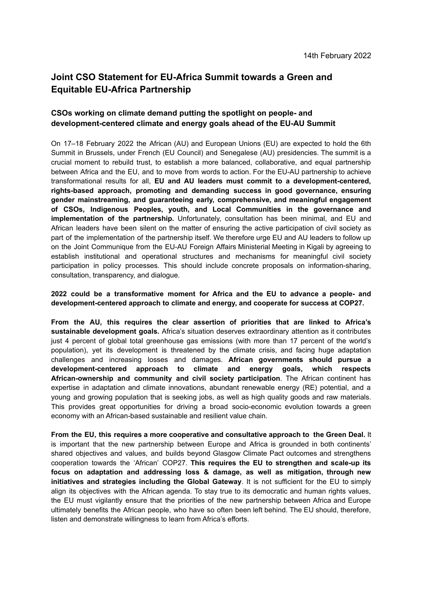# **Joint CSO Statement for EU-Africa Summit towards a Green and Equitable EU-Africa Partnership**

# **CSOs working on climate demand putting the spotlight on people- and development-centered climate and energy goals ahead of the EU-AU Summit**

On 17–18 February 2022 the African (AU) and European Unions (EU) are expected to hold the 6th Summit in Brussels, under French (EU Council) and Senegalese (AU) presidencies. The summit is a crucial moment to rebuild trust, to establish a more balanced, collaborative, and equal partnership between Africa and the EU, and to move from words to action. For the EU-AU partnership to achieve transformational results for all, **EU and AU leaders must commit to a development-centered, rights-based approach, promoting and demanding success in good governance, ensuring gender mainstreaming, and guaranteeing early, comprehensive, and meaningful engagement of CSOs, Indigenous Peoples, youth, and Local Communities in the governance and implementation of the partnership.** Unfortunately, consultation has been minimal, and EU and African leaders have been silent on the matter of ensuring the active participation of civil society as part of the implementation of the partnership itself. We therefore urge EU and AU leaders to follow up on the Joint Communique from the EU-AU Foreign Affairs Ministerial Meeting in Kigali by agreeing to establish institutional and operational structures and mechanisms for meaningful civil society participation in policy processes. This should include concrete proposals on information-sharing, consultation, transparency, and dialogue.

## **2022 could be a transformative moment for Africa and the EU to advance a people- and development-centered approach to climate and energy, and cooperate for success at COP27.**

**From the AU, this requires the clear assertion of priorities that are linked to Africa's sustainable development goals.** Africa's situation deserves extraordinary attention as it contributes just 4 percent of global total greenhouse gas emissions (with more than 17 percent of the world's population), yet its development is threatened by the climate crisis, and facing huge adaptation challenges and increasing losses and damages. **African governments should pursue a development-centered approach to climate and energy goals, which respects African-ownership and community and civil society participation**. The African continent has expertise in adaptation and climate innovations, abundant renewable energy (RE) potential, and a young and growing population that is seeking jobs, as well as high quality goods and raw materials. This provides great opportunities for driving a broad socio-economic evolution towards a green economy with an African-based sustainable and resilient value chain.

**From the EU, this requires a more cooperative and consultative approach to the Green Deal.** It is important that the new partnership between Europe and Africa is grounded in both continents' shared objectives and values, and builds beyond Glasgow Climate Pact outcomes and strengthens cooperation towards the 'African' COP27. **This requires the EU to strengthen and scale-up its focus on adaptation and addressing loss & damage, as well as mitigation, through new initiatives and strategies including the Global Gateway**. It is not sufficient for the EU to simply align its objectives with the African agenda. To stay true to its democratic and human rights values, the EU must vigilantly ensure that the priorities of the new partnership between Africa and Europe ultimately benefits the African people, who have so often been left behind. The EU should, therefore, listen and demonstrate willingness to learn from Africa's efforts.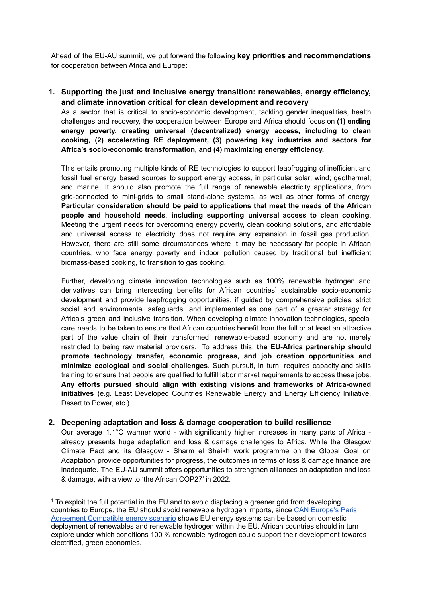Ahead of the EU-AU summit, we put forward the following **key priorities and recommendations** for cooperation between Africa and Europe:

**1. Supporting the just and inclusive energy transition: renewables, energy efficiency, and climate innovation critical for clean development and recovery**

As a sector that is critical to socio-economic development, tackling gender inequalities, health challenges and recovery, the cooperation between Europe and Africa should focus on **(1) ending energy poverty, creating universal (decentralized) energy access, including to clean cooking, (2) accelerating RE deployment, (3) powering key industries and sectors for Africa's socio-economic transformation, and (4) maximizing energy efficiency.**

This entails promoting multiple kinds of RE technologies to support leapfrogging of inefficient and fossil fuel energy based sources to support energy access, in particular solar; wind; geothermal; and marine. It should also promote the full range of renewable electricity applications, from grid-connected to mini-grids to small stand-alone systems, as well as other forms of energy. **Particular consideration should be paid to applications that meet the needs of the African people and household needs**, **including supporting universal access to clean cooking**. Meeting the urgent needs for overcoming energy poverty, clean cooking solutions, and affordable and universal access to electricity does not require any expansion in fossil gas production. However, there are still some circumstances where it may be necessary for people in African countries, who face energy poverty and indoor pollution caused by traditional but inefficient biomass-based cooking, to transition to gas cooking.

Further, developing climate innovation technologies such as 100% renewable hydrogen and derivatives can bring intersecting benefits for African countries' sustainable socio-economic development and provide leapfrogging opportunities, if guided by comprehensive policies, strict social and environmental safeguards, and implemented as one part of a greater strategy for Africa's green and inclusive transition. When developing climate innovation technologies, special care needs to be taken to ensure that African countries benefit from the full or at least an attractive part of the value chain of their transformed, renewable-based economy and are not merely restricted to being raw material providers. <sup>1</sup> To address this, **the EU-Africa partnership should promote technology transfer, economic progress, and job creation opportunities and minimize ecological and social challenges**. Such pursuit, in turn, requires capacity and skills training to ensure that people are qualified to fulfill labor market requirements to access these jobs. **Any efforts pursued should align with existing visions and frameworks of Africa-owned initiatives** (e.g. Least Developed Countries Renewable Energy and Energy Efficiency Initiative, Desert to Power, etc.).

## **2. Deepening adaptation and loss & damage cooperation to build resilience**

Our average 1.1°C warmer world - with significantly higher increases in many parts of Africa already presents huge adaptation and loss & damage challenges to Africa. While the Glasgow Climate Pact and its Glasgow - Sharm el Sheikh work programme on the Global Goal on Adaptation provide opportunities for progress, the outcomes in terms of loss & damage finance are inadequate. The EU-AU summit offers opportunities to strengthen alliances on adaptation and loss & damage, with a view to 'the African COP27' in 2022.

<sup>&</sup>lt;sup>1</sup> To exploit the full potential in the EU and to avoid displacing a greener grid from developing countries to Europe, the EU should avoid renewable hydrogen imports, since CAN [Europe's](https://caneurope.org/building-a-paris-agreement-compatible-pac-energy-scenario/) Paris Agreement [Compatible](https://caneurope.org/building-a-paris-agreement-compatible-pac-energy-scenario/) energy scenario shows EU energy systems can be based on domestic deployment of renewables and renewable hydrogen within the EU. African countries should in turn explore under which conditions 100 % renewable hydrogen could support their development towards electrified, green economies.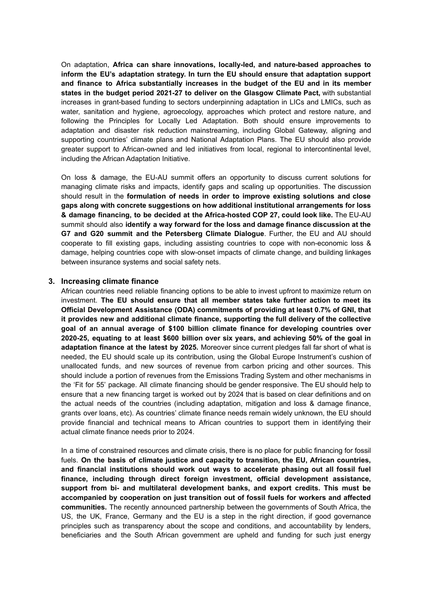On adaptation, **Africa can share innovations, locally-led, and nature-based approaches to inform the EU's adaptation strategy. In turn the EU should ensure that adaptation support and finance to Africa substantially increases in the budget of the EU and in its member states in the budget period 2021-27 to deliver on the Glasgow Climate Pact,** with substantial increases in grant-based funding to sectors underpinning adaptation in LICs and LMICs, such as water, sanitation and hygiene, agroecology, approaches which protect and restore nature, and following the Principles for Locally Led Adaptation. Both should ensure improvements to adaptation and disaster risk reduction mainstreaming, including Global Gateway, aligning and supporting countries' climate plans and National Adaptation Plans. The EU should also provide greater support to African-owned and led initiatives from local, regional to intercontinental level, including the African Adaptation Initiative.

On loss & damage, the EU-AU summit offers an opportunity to discuss current solutions for managing climate risks and impacts, identify gaps and scaling up opportunities. The discussion should result in the **formulation of needs in order to improve existing solutions and close gaps along with concrete suggestions on how additional institutional arrangements for loss & damage financing, to be decided at the Africa-hosted COP 27, could look like.** The EU-AU summit should also **identify a way forward for the loss and damage finance discussion at the G7 and G20 summit and the Petersberg Climate Dialogue**. Further, the EU and AU should cooperate to fill existing gaps, including assisting countries to cope with non-economic loss & damage, helping countries cope with slow-onset impacts of climate change, and building linkages between insurance systems and social safety nets.

#### **3. Increasing climate finance**

African countries need reliable financing options to be able to invest upfront to maximize return on investment. **The EU should ensure that all member states take further action to meet its Official Development Assistance (ODA) commitments of providing at least 0.7% of GNI, that it provides new and additional climate finance, supporting the full delivery of the collective goal of an annual average of \$100 billion climate finance for developing countries over 2020-25, equating to at least \$600 billion over six years, and achieving 50% of the goal in adaptation finance at the latest by 2025.** Moreover since current pledges fall far short of what is needed, the EU should scale up its contribution, using the Global Europe Instrument's cushion of unallocated funds, and new sources of revenue from carbon pricing and other sources. This should include a portion of revenues from the Emissions Trading System and other mechanisms in the 'Fit for 55' package. All climate financing should be gender responsive. The EU should help to ensure that a new financing target is worked out by 2024 that is based on clear definitions and on the actual needs of the countries (including adaptation, mitigation and loss & damage finance, grants over loans, etc). As countries' climate finance needs remain widely unknown, the EU should provide financial and technical means to African countries to support them in identifying their actual climate finance needs prior to 2024.

In a time of constrained resources and climate crisis, there is no place for public financing for fossil fuels. **On the basis of climate justice and capacity to transition, the EU, African countries, and financial institutions should work out ways to accelerate phasing out all fossil fuel finance, including through direct foreign investment, official development assistance, support from bi- and multilateral development banks, and export credits. This must be accompanied by cooperation on just transition out of fossil fuels for workers and affected communities.** The recently announced partnership between the governments of South Africa, the US, the UK, France, Germany and the EU is a step in the right direction, if good governance principles such as transparency about the scope and conditions, and accountability by lenders, beneficiaries and the South African government are upheld and funding for such just energy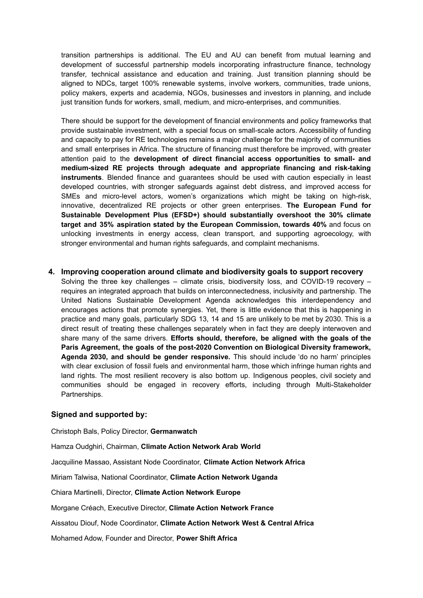transition partnerships is additional. The EU and AU can benefit from mutual learning and development of successful partnership models incorporating infrastructure finance, technology transfer, technical assistance and education and training. Just transition planning should be aligned to NDCs, target 100% renewable systems, involve workers, communities, trade unions, policy makers, experts and academia, NGOs, businesses and investors in planning, and include just transition funds for workers, small, medium, and micro-enterprises, and communities.

There should be support for the development of financial environments and policy frameworks that provide sustainable investment, with a special focus on small-scale actors. Accessibility of funding and capacity to pay for RE technologies remains a major challenge for the majority of communities and small enterprises in Africa. The structure of financing must therefore be improved, with greater attention paid to the **development of direct financial access opportunities to small- and medium-sized RE projects through adequate and appropriate financing and risk-taking instruments**. Blended finance and guarantees should be used with caution especially in least developed countries, with stronger safeguards against debt distress, and improved access for SMEs and micro-level actors, women's organizations which might be taking on high-risk, innovative, decentralized RE projects or other green enterprises. **The European Fund for Sustainable Development Plus (EFSD+) should substantially overshoot the 30% climate target and 35% aspiration stated by the European Commission, towards 40%** and focus on unlocking investments in energy access, clean transport, and supporting agroecology, with stronger environmental and human rights safeguards, and complaint mechanisms.

**4. Improving cooperation around climate and biodiversity goals to support recovery**

Solving the three key challenges – climate crisis, biodiversity loss, and COVID-19 recovery – requires an integrated approach that builds on interconnectedness, inclusivity and partnership. The United Nations Sustainable Development Agenda acknowledges this interdependency and encourages actions that promote synergies. Yet, there is little evidence that this is happening in practice and many goals, particularly SDG 13, 14 and 15 are unlikely to be met by 2030. This is a direct result of treating these challenges separately when in fact they are deeply interwoven and share many of the same drivers. **Efforts should, therefore, be aligned with the goals of the Paris Agreement, the goals of the post-2020 Convention on Biological Diversity framework, Agenda 2030, and should be gender responsive.** This should include 'do no harm' principles with clear exclusion of fossil fuels and environmental harm, those which infringe human rights and land rights. The most resilient recovery is also bottom up. Indigenous peoples, civil society and communities should be engaged in recovery efforts, including through Multi-Stakeholder Partnerships.

#### **Signed and supported by:**

Christoph Bals, Policy Director, **Germanwatch**

Hamza Oudghiri, Chairman, **Climate Action Network Arab World**

Jacquiline Massao, Assistant Node Coordinator, **Climate Action Network Africa**

Miriam Talwisa, National Coordinator, **Climate Action Network Uganda**

Chiara Martinelli, Director, **Climate Action Network Europe**

Morgane Créach, Executive Director, **Climate Action Network France**

Aissatou Diouf, Node Coordinator, **Climate Action Network West & Central Africa**

Mohamed Adow, Founder and Director, **Power Shift Africa**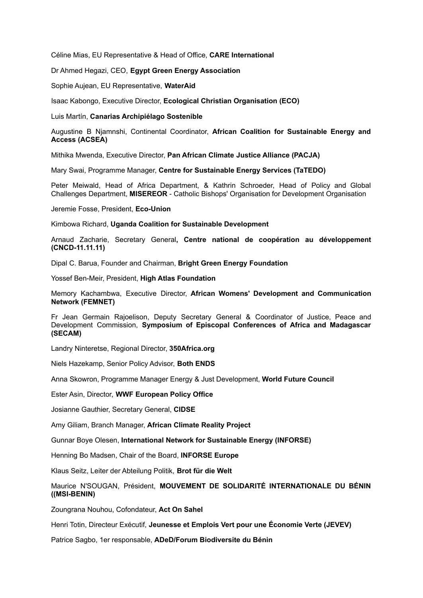Céline Mias, EU Representative & Head of Office, **CARE International**

Dr Ahmed Hegazi, CEO, **Egypt Green Energy Association**

Sophie Aujean, EU Representative, **WaterAid**

Isaac Kabongo, Executive Director, **Ecological Christian Organisation (ECO)**

Luis Martín, **Canarias Archipiélago Sostenible**

Augustine B Njamnshi, Continental Coordinator, **African Coalition for Sustainable Energy and Access (ACSEA)**

Mithika Mwenda, Executive Director, **Pan African Climate Justice Alliance (PACJA)**

Mary Swai, Programme Manager, **Centre for Sustainable Energy Services (TaTEDO)**

Peter Meiwald, Head of Africa Department, & Kathrin Schroeder, Head of Policy and Global Challenges Department, **MISEREOR** - Catholic Bishops' Organisation for Development Organisation

Jeremie Fosse, President, **Eco-Union**

Kimbowa Richard, **Uganda Coalition for Sustainable Development**

Arnaud Zacharie, Secretary General**, Centre national de coopération au [développement](https://www.cncd.be/-cooperation-au-developpement-) (CNCD-11.11.11)**

Dipal C. Barua, Founder and Chairman, **Bright Green Energy Foundation**

Yossef Ben-Meir, President, **High Atlas Foundation**

Memory Kachambwa, Executive Director, **African Womens' Development and Communication Network (FEMNET)**

Fr Jean Germain Rajoelison, Deputy Secretary General & Coordinator of Justice, Peace and Development Commission, **Symposium of Episcopal Conferences of Africa and Madagascar (SECAM)**

Landry Ninteretse, Regional Director, **350Africa.org**

Niels Hazekamp, Senior Policy Advisor, **Both ENDS**

Anna Skowron, Programme Manager Energy & Just Development, **World Future Council**

Ester Asin, Director, **WWF European Policy Office**

Josianne Gauthier, Secretary General, **CIDSE**

Amy Giliam, Branch Manager, **African Climate Reality Project**

Gunnar Boye Olesen, **International Network for Sustainable Energy (INFORSE)**

Henning Bo Madsen, Chair of the Board, **INFORSE Europe**

Klaus Seitz, Leiter der Abteilung Politik, **Brot für die Welt**

Maurice N'SOUGAN, Président, **MOUVEMENT DE SOLIDARITÉ INTERNATIONALE DU BÉNIN ((MSI-BENIN)**

Zoungrana Nouhou, Cofondateur, **Act On Sahel**

Henri Totin, Directeur Exécutif, **Jeunesse et Emplois Vert pour une Économie Verte (JEVEV)**

Patrice Sagbo, 1er responsable, **ADeD/Forum Biodiversite du Bénin**